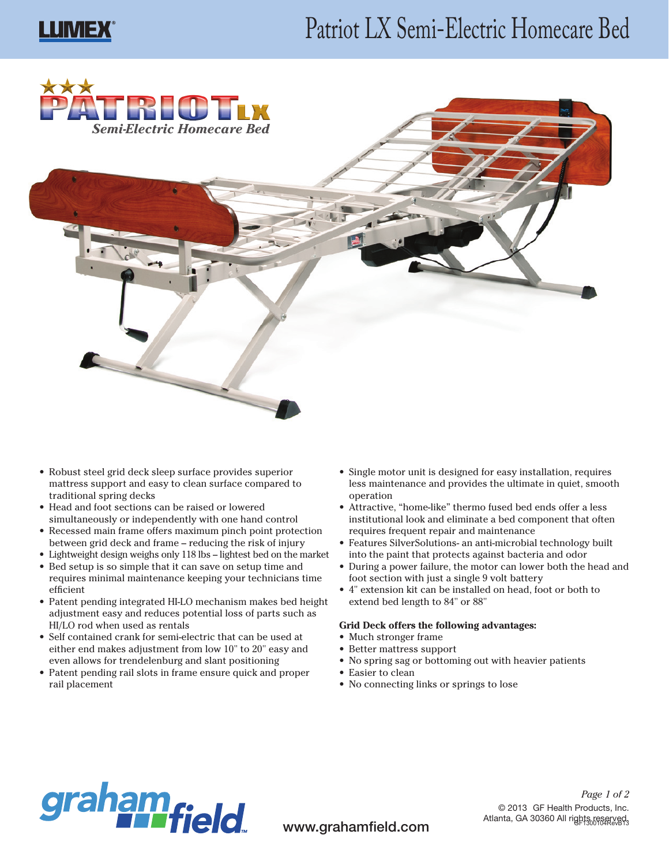# **LLIMEX**

# Patriot LX Semi-Electric Homecare Bed





- Robust steel grid deck sleep surface provides superior mattress support and easy to clean surface compared to traditional spring decks
- Head and foot sections can be raised or lowered simultaneously or independently with one hand control
- • Recessed main frame offers maximum pinch point protection between grid deck and frame – reducing the risk of injury
- • Lightweight design weighs only 118 lbs lightest bed on the market
- Bed setup is so simple that it can save on setup time and requires minimal maintenance keeping your technicians time efficient
- Patent pending integrated HI-LO mechanism makes bed height adjustment easy and reduces potential loss of parts such as HI/LO rod when used as rentals
- Self contained crank for semi-electric that can be used at either end makes adjustment from low 10" to 20" easy and even allows for trendelenburg and slant positioning
- Patent pending rail slots in frame ensure quick and proper rail placement
- Single motor unit is designed for easy installation, requires less maintenance and provides the ultimate in quiet, smooth operation
- Attractive, "home-like" thermo fused bed ends offer a less institutional look and eliminate a bed component that often requires frequent repair and maintenance
- Features SilverSolutions- an anti-microbial technology built into the paint that protects against bacteria and odor
- • During a power failure, the motor can lower both the head and foot section with just a single 9 volt battery
- • 4" extension kit can be installed on head, foot or both to extend bed length to 84" or 88"

#### **Grid Deck offers the following advantages:**

- Much stronger frame
- Better mattress support
- • No spring sag or bottoming out with heavier patients
- Easier to clean
- • No connecting links or springs to lose



www.grahamfield.com